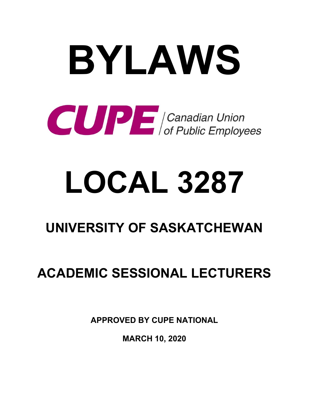# **BYLAWS COMPLE** Canadian Union

## **LOCAL 3287**

## **UNIVERSITY OF SASKATCHEWAN**

### **ACADEMIC SESSIONAL LECTURERS**

**APPROVED BY CUPE NATIONAL** 

**MARCH 10, 2020**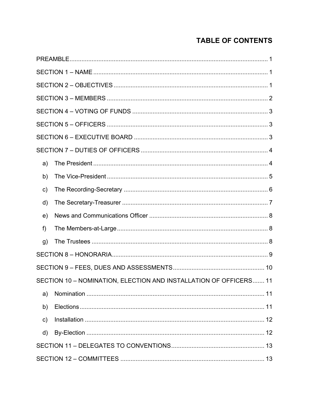#### **TABLE OF CONTENTS**

| a)            |                                                                   |  |
|---------------|-------------------------------------------------------------------|--|
| b)            |                                                                   |  |
| $\mathsf{c})$ |                                                                   |  |
| d)            |                                                                   |  |
| e)            |                                                                   |  |
| f             |                                                                   |  |
| g)            |                                                                   |  |
|               |                                                                   |  |
|               |                                                                   |  |
|               | SECTION 10 - NOMINATION, ELECTION AND INSTALLATION OF OFFICERS 11 |  |
| a)            |                                                                   |  |
| b)            |                                                                   |  |
| $\mathsf{c})$ |                                                                   |  |
| d)            |                                                                   |  |
|               |                                                                   |  |
|               |                                                                   |  |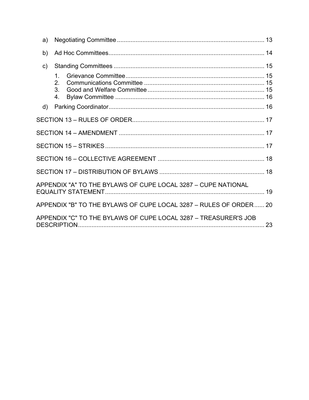| a)           |                                                                   |    |
|--------------|-------------------------------------------------------------------|----|
| b)           |                                                                   |    |
| $\mathsf{C}$ |                                                                   |    |
|              | 1 <sub>1</sub><br>2.<br>3 <sub>l</sub><br>4.                      |    |
| d)           |                                                                   |    |
|              |                                                                   |    |
|              |                                                                   |    |
|              |                                                                   |    |
|              |                                                                   |    |
|              |                                                                   |    |
|              | APPENDIX "A" TO THE BYLAWS OF CUPE LOCAL 3287 - CUPE NATIONAL     |    |
|              | APPENDIX "B" TO THE BYLAWS OF CUPE LOCAL 3287 - RULES OF ORDER 20 |    |
|              | APPENDIX "C" TO THE BYLAWS OF CUPE LOCAL 3287 - TREASURER'S JOB   | 23 |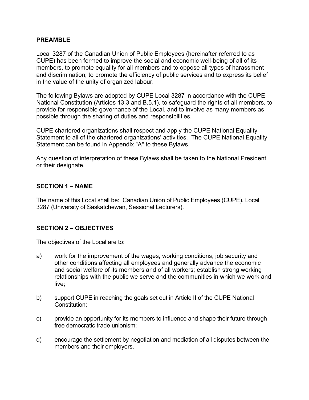#### **PREAMBLE**

Local 3287 of the Canadian Union of Public Employees (hereinafter referred to as CUPE) has been formed to improve the social and economic well-being of all of its members, to promote equality for all members and to oppose all types of harassment and discrimination; to promote the efficiency of public services and to express its belief in the value of the unity of organized labour.

The following Bylaws are adopted by CUPE Local 3287 in accordance with the CUPE National Constitution (Articles 13.3 and B.5.1), to safeguard the rights of all members, to provide for responsible governance of the Local, and to involve as many members as possible through the sharing of duties and responsibilities.

CUPE chartered organizations shall respect and apply the CUPE National Equality Statement to all of the chartered organizations' activities. The CUPE National Equality Statement can be found in Appendix "A" to these Bylaws.

Any question of interpretation of these Bylaws shall be taken to the National President or their designate.

#### **SECTION 1 – NAME**

The name of this Local shall be: Canadian Union of Public Employees (CUPE), Local 3287 (University of Saskatchewan, Sessional Lecturers).

#### **SECTION 2 – OBJECTIVES**

The objectives of the Local are to:

- a) work for the improvement of the wages, working conditions, job security and other conditions affecting all employees and generally advance the economic and social welfare of its members and of all workers; establish strong working relationships with the public we serve and the communities in which we work and live;
- b) support CUPE in reaching the goals set out in Article II of the CUPE National Constitution;
- c) provide an opportunity for its members to influence and shape their future through free democratic trade unionism;
- d) encourage the settlement by negotiation and mediation of all disputes between the members and their employers.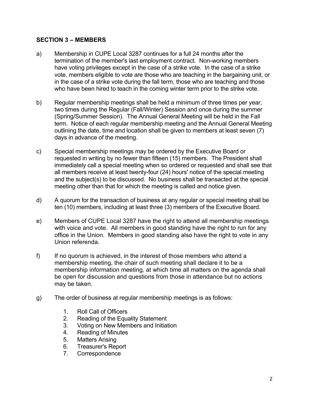#### **SECTION 3 – MEMBERS**

- a) Membership in CUPE Local 3287 continues for a full 24 months after the termination of the member's last employment contract. Non-working members have voting privileges except in the case of a strike vote. In the case of a strike vote, members eligible to vote are those who are teaching in the bargaining unit, or in the case of a strike vote during the fall term, those who are teaching and those who have been hired to teach in the coming winter term prior to the strike vote.
- b) Regular membership meetings shall be held a minimum of three times per year, two times during the Regular (Fall/Winter) Session and once during the summer (Spring/Summer Session). The Annual General Meeting will be held in the Fall term. Notice of each regular membership meeting and the Annual General Meeting outlining the date, time and location shall be given to members at least seven (7) days in advance of the meeting.
- c) Special membership meetings may be ordered by the Executive Board or requested in writing by no fewer than fifteen (15) members. The President shall immediately call a special meeting when so ordered or requested and shall see that all members receive at least twenty-four (24) hours' notice of the special meeting and the subject(s) to be discussed. No business shall be transacted at the special meeting other than that for which the meeting is called and notice given.
- d) A quorum for the transaction of business at any regular or special meeting shall be ten (10) members, including at least three (3) members of the Executive Board.
- e) Members of CUPE Local 3287 have the right to attend all membership meetings with voice and vote. All members in good standing have the right to run for any office in the Union. Members in good standing also have the right to vote in any Union referenda.
- f) If no quorum is achieved, in the interest of those members who attend a membership meeting, the chair of such meeting shall declare it to be a membership information meeting, at which time all matters on the agenda shall be open for discussion and questions from those in attendance but no actions may be taken.
- g) The order of business at regular membership meetings is as follows:
	- 1. Roll Call of Officers
	- 2. Reading of the Equality Statement
	- 3. Voting on New Members and Initiation
	- 4. Reading of Minutes
	- 5. Matters Arising
	- 6. Treasurer's Report
	- 7. Correspondence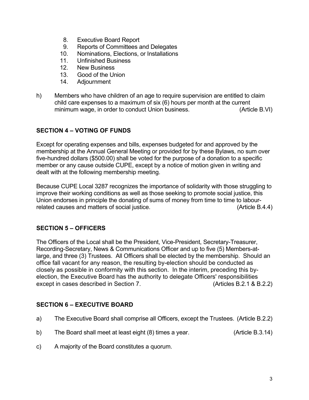- 8. Executive Board Report
- 9. Reports of Committees and Delegates
- 10. Nominations, Elections, or Installations
- 11. Unfinished Business
- 12. New Business
- 13. Good of the Union
- 14. Adjournment
- h) Members who have children of an age to require supervision are entitled to claim child care expenses to a maximum of six (6) hours per month at the current minimum wage, in order to conduct Union business. (Article B.VI)

#### **SECTION 4 – VOTING OF FUNDS**

Except for operating expenses and bills, expenses budgeted for and approved by the membership at the Annual General Meeting or provided for by these Bylaws, no sum over five-hundred dollars (\$500.00) shall be voted for the purpose of a donation to a specific member or any cause outside CUPE, except by a notice of motion given in writing and dealt with at the following membership meeting.

Because CUPE Local 3287 recognizes the importance of solidarity with those struggling to improve their working conditions as well as those seeking to promote social justice, this Union endorses in principle the donating of sums of money from time to time to labourrelated causes and matters of social justice. The same state of the state (Article B.4.4)

#### **SECTION 5 – OFFICERS**

The Officers of the Local shall be the President, Vice-President, Secretary-Treasurer, Recording-Secretary, News & Communications Officer and up to five (5) Members-atlarge, and three (3) Trustees. All Officers shall be elected by the membership. Should an office fall vacant for any reason, the resulting by-election should be conducted as closely as possible in conformity with this section. In the interim, preceding this byelection, the Executive Board has the authority to delegate Officers' responsibilities except in cases described in Section 7. (Articles B.2.1 & B.2.2)

#### **SECTION 6 – EXECUTIVE BOARD**

- a) The Executive Board shall comprise all Officers, except the Trustees. (Article B.2.2)
- b) The Board shall meet at least eight (8) times a year. (Article B.3.14)
- c) A majority of the Board constitutes a quorum.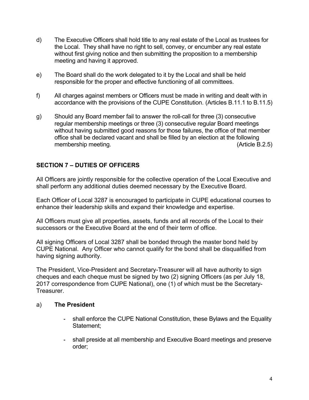- d) The Executive Officers shall hold title to any real estate of the Local as trustees for the Local. They shall have no right to sell, convey, or encumber any real estate without first giving notice and then submitting the proposition to a membership meeting and having it approved.
- e) The Board shall do the work delegated to it by the Local and shall be held responsible for the proper and effective functioning of all committees.
- f) All charges against members or Officers must be made in writing and dealt with in accordance with the provisions of the CUPE Constitution. (Articles B.11.1 to B.11.5)
- g) Should any Board member fail to answer the roll-call for three (3) consecutive regular membership meetings or three (3) consecutive regular Board meetings without having submitted good reasons for those failures, the office of that member office shall be declared vacant and shall be filled by an election at the following membership meeting. (Article B.2.5)

#### **SECTION 7 – DUTIES OF OFFICERS**

All Officers are jointly responsible for the collective operation of the Local Executive and shall perform any additional duties deemed necessary by the Executive Board.

Each Officer of Local 3287 is encouraged to participate in CUPE educational courses to enhance their leadership skills and expand their knowledge and expertise.

All Officers must give all properties, assets, funds and all records of the Local to their successors or the Executive Board at the end of their term of office.

All signing Officers of Local 3287 shall be bonded through the master bond held by CUPE National. Any Officer who cannot qualify for the bond shall be disqualified from having signing authority.

The President, Vice-President and Secretary-Treasurer will all have authority to sign cheques and each cheque must be signed by two (2) signing Officers (as per July 18, 2017 correspondence from CUPE National), one (1) of which must be the Secretary-Treasurer.

#### a) **The President**

- **-** shall enforce the CUPE National Constitution, these Bylaws and the Equality Statement;
- **-** shall preside at all membership and Executive Board meetings and preserve order;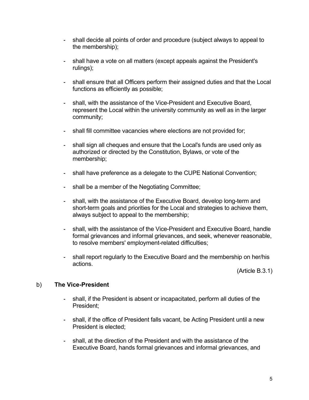- **-** shall decide all points of order and procedure (subject always to appeal to the membership);
- **-** shall have a vote on all matters (except appeals against the President's rulings);
- **-** shall ensure that all Officers perform their assigned duties and that the Local functions as efficiently as possible;
- **-** shall, with the assistance of the Vice-President and Executive Board, represent the Local within the university community as well as in the larger community;
- **-** shall fill committee vacancies where elections are not provided for;
- **-** shall sign all cheques and ensure that the Local's funds are used only as authorized or directed by the Constitution, Bylaws, or vote of the membership;
- **-** shall have preference as a delegate to the CUPE National Convention;
- **-** shall be a member of the Negotiating Committee;
- **-** shall, with the assistance of the Executive Board, develop long-term and short-term goals and priorities for the Local and strategies to achieve them, always subject to appeal to the membership;
- **-** shall, with the assistance of the Vice-President and Executive Board, handle formal grievances and informal grievances, and seek, whenever reasonable, to resolve members' employment-related difficulties;
- **-** shall report regularly to the Executive Board and the membership on her/his actions.

(Article B.3.1)

#### b) **The Vice-President**

- **-** shall, if the President is absent or incapacitated, perform all duties of the President;
- **-** shall, if the office of President falls vacant, be Acting President until a new President is elected;
- **-** shall, at the direction of the President and with the assistance of the Executive Board, hands formal grievances and informal grievances, and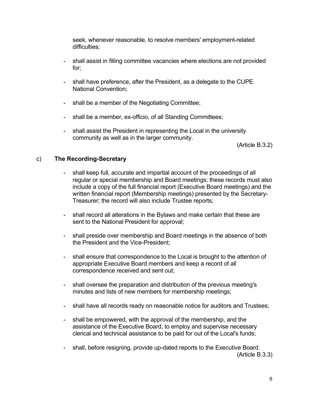seek, whenever reasonable, to resolve members' employment-related difficulties:

- **-** shall assist in filling committee vacancies where elections are not provided for;
- **-** shall have preference, after the President, as a delegate to the CUPE National Convention;
- **-** shall be a member of the Negotiating Committee;
- **-** shall be a member, ex-officio, of all Standing Committees;
- **-** shall assist the President in representing the Local in the university community as well as in the larger community.

(Article B.3.2)

#### c) **The Recording-Secretary**

- **-** shall keep full, accurate and impartial account of the proceedings of all regular or special membership and Board meetings; these records must also include a copy of the full financial report (Executive Board meetings) and the written financial report (Membership meetings) presented by the Secretary-Treasurer; the record will also include Trustee reports;
- **-** shall record all alterations in the Bylaws and make certain that these are sent to the National President for approval;
- **-** shall preside over membership and Board meetings in the absence of both the President and the Vice-President;
- **-** shall ensure that correspondence to the Local is brought to the attention of appropriate Executive Board members and keep a record of all correspondence received and sent out;
- **-** shall oversee the preparation and distribution of the previous meeting's minutes and lists of new members for membership meetings;
- **-** shall have all records ready on reasonable notice for auditors and Trustees;
- **-** shall be empowered, with the approval of the membership, and the assistance of the Executive Board, to employ and supervise necessary clerical and technical assistance to be paid for out of the Local's funds;
- **-** shall, before resigning, provide up-dated reports to the Executive Board. (Article B.3.3)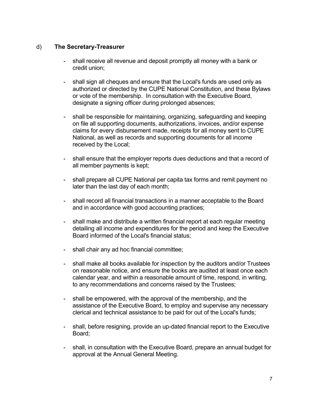#### d) **The Secretary-Treasurer**

- **-** shall receive all revenue and deposit promptly all money with a bank or credit union;
- **-** shall sign all cheques and ensure that the Local's funds are used only as authorized or directed by the CUPE National Constitution, and these Bylaws or vote of the membership. In consultation with the Executive Board, designate a signing officer during prolonged absences;
- shall be responsible for maintaining, organizing, safeguarding and keeping on file all supporting documents, authorizations, invoices, and/or expense claims for every disbursement made, receipts for all money sent to CUPE National, as well as records and supporting documents for all income received by the Local;
- **-** shall ensure that the employer reports dues deductions and that a record of all member payments is kept;
- **-** shall prepare all CUPE National per capita tax forms and remit payment no later than the last day of each month;
- **-** shall record all financial transactions in a manner acceptable to the Board and in accordance with good accounting practices;
- **-** shall make and distribute a written financial report at each regular meeting detailing all income and expenditures for the period and keep the Executive Board informed of the Local's financial status;
- **-** shall chair any ad hoc financial committee;
- **-** shall make all books available for inspection by the auditors and/or Trustees on reasonable notice, and ensure the books are audited at least once each calendar year, and within a reasonable amount of time, respond, in writing, to any recommendations and concerns raised by the Trustees;
- **-** shall be empowered, with the approval of the membership, and the assistance of the Executive Board, to employ and supervise any necessary clerical and technical assistance to be paid for out of the Local's funds;
- **-** shall, before resigning, provide an up-dated financial report to the Executive Board;
- **-** shall, in consultation with the Executive Board, prepare an annual budget for approval at the Annual General Meeting.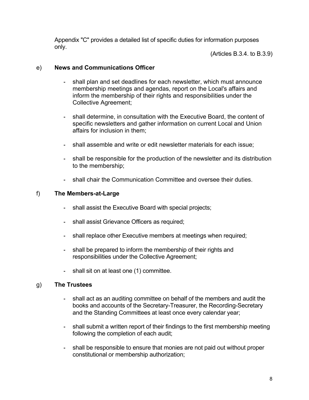Appendix "C" provides a detailed list of specific duties for information purposes only.

(Articles B.3.4. to B.3.9)

#### e) **News and Communications Officer**

- **-** shall plan and set deadlines for each newsletter, which must announce membership meetings and agendas, report on the Local's affairs and inform the membership of their rights and responsibilities under the Collective Agreement;
- **-** shall determine, in consultation with the Executive Board, the content of specific newsletters and gather information on current Local and Union affairs for inclusion in them;
- **-** shall assemble and write or edit newsletter materials for each issue;
- **-** shall be responsible for the production of the newsletter and its distribution to the membership;
- **-** shall chair the Communication Committee and oversee their duties.

#### f) **The Members-at-Large**

- **-** shall assist the Executive Board with special projects;
- **-** shall assist Grievance Officers as required;
- **-** shall replace other Executive members at meetings when required;
- **-** shall be prepared to inform the membership of their rights and responsibilities under the Collective Agreement;
- **-** shall sit on at least one (1) committee.

#### g) **The Trustees**

- **-** shall act as an auditing committee on behalf of the members and audit the books and accounts of the Secretary-Treasurer, the Recording-Secretary and the Standing Committees at least once every calendar year;
- **-** shall submit a written report of their findings to the first membership meeting following the completion of each audit;
- **-** shall be responsible to ensure that monies are not paid out without proper constitutional or membership authorization;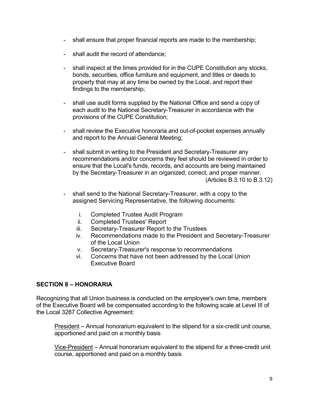- **-** shall ensure that proper financial reports are made to the membership;
- **-** shall audit the record of attendance;
- **-** shall inspect at the times provided for in the CUPE Constitution any stocks, bonds, securities, office furniture and equipment, and titles or deeds to property that may at any time be owned by the Local, and report their findings to the membership;
- **-** shall use audit forms supplied by the National Office and send a copy of each audit to the National Secretary-Treasurer in accordance with the provisions of the CUPE Constitution;
- **-** shall review the Executive honoraria and out-of-pocket expenses annually and report to the Annual General Meeting;
- **-** shall submit in writing to the President and Secretary-Treasurer any recommendations and/or concerns they feel should be reviewed in order to ensure that the Local's funds, records, and accounts are being maintained by the Secretary-Treasurer in an organized, correct, and proper manner. (Articles B.3.10 to B.3.12)
- **-** shall send to the National Secretary-Treasurer, with a copy to the assigned Servicing Representative, the following documents:
	- i. Completed Trustee Audit Program
	- ii. Completed Trustees' Report
	- iii. Secretary-Treasurer Report to the Trustees
	- iv. Recommendations made to the President and Secretary-Treasurer of the Local Union
	- v. Secretary-Treasurer's response to recommendations
	- vi. Concerns that have not been addressed by the Local Union Executive Board

#### **SECTION 8 – HONORARIA**

Recognizing that all Union business is conducted on the employee's own time, members of the Executive Board will be compensated according to the following scale at Level III of the Local 3287 Collective Agreement:

President – Annual honorarium equivalent to the stipend for a six-credit unit course, apportioned and paid on a monthly basis

Vice-President – Annual honorarium equivalent to the stipend for a three-credit unit course, apportioned and paid on a monthly basis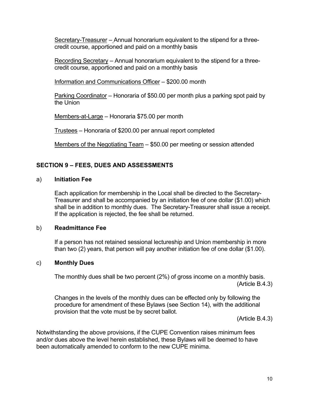Secretary-Treasurer – Annual honorarium equivalent to the stipend for a threecredit course, apportioned and paid on a monthly basis

Recording Secretary – Annual honorarium equivalent to the stipend for a threecredit course, apportioned and paid on a monthly basis

Information and Communications Officer – \$200.00 month

Parking Coordinator – Honoraria of \$50.00 per month plus a parking spot paid by the Union

Members-at-Large – Honoraria \$75.00 per month

Trustees – Honoraria of \$200.00 per annual report completed

Members of the Negotiating Team – \$50.00 per meeting or session attended

#### **SECTION 9 – FEES, DUES AND ASSESSMENTS**

#### a) **Initiation Fee**

Each application for membership in the Local shall be directed to the Secretary-Treasurer and shall be accompanied by an initiation fee of one dollar (\$1.00) which shall be in addition to monthly dues. The Secretary-Treasurer shall issue a receipt. If the application is rejected, the fee shall be returned.

#### b) **Readmittance Fee**

If a person has not retained sessional lectureship and Union membership in more than two (2) years, that person will pay another initiation fee of one dollar (\$1.00).

#### c) **Monthly Dues**

The monthly dues shall be two percent (2%) of gross income on a monthly basis. (Article B.4.3)

Changes in the levels of the monthly dues can be effected only by following the procedure for amendment of these Bylaws (see Section 14), with the additional provision that the vote must be by secret ballot.

(Article B.4.3)

Notwithstanding the above provisions, if the CUPE Convention raises minimum fees and/or dues above the level herein established, these Bylaws will be deemed to have been automatically amended to conform to the new CUPE minima.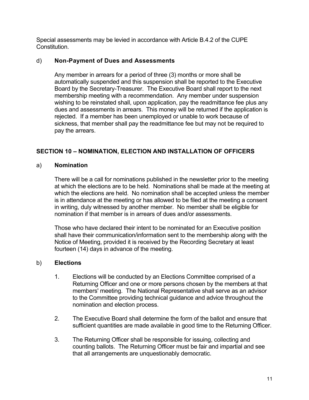Special assessments may be levied in accordance with Article B.4.2 of the CUPE Constitution.

#### d) **Non-Payment of Dues and Assessments**

Any member in arrears for a period of three (3) months or more shall be automatically suspended and this suspension shall be reported to the Executive Board by the Secretary-Treasurer. The Executive Board shall report to the next membership meeting with a recommendation. Any member under suspension wishing to be reinstated shall, upon application, pay the readmittance fee plus any dues and assessments in arrears. This money will be returned if the application is rejected. If a member has been unemployed or unable to work because of sickness, that member shall pay the readmittance fee but may not be required to pay the arrears.

#### **SECTION 10 – NOMINATION, ELECTION AND INSTALLATION OF OFFICERS**

#### a) **Nomination**

There will be a call for nominations published in the newsletter prior to the meeting at which the elections are to be held. Nominations shall be made at the meeting at which the elections are held. No nomination shall be accepted unless the member is in attendance at the meeting or has allowed to be filed at the meeting a consent in writing, duly witnessed by another member. No member shall be eligible for nomination if that member is in arrears of dues and/or assessments.

Those who have declared their intent to be nominated for an Executive position shall have their communication/information sent to the membership along with the Notice of Meeting, provided it is received by the Recording Secretary at least fourteen (14) days in advance of the meeting.

#### b) **Elections**

- 1. Elections will be conducted by an Elections Committee comprised of a Returning Officer and one or more persons chosen by the members at that members' meeting. The National Representative shall serve as an advisor to the Committee providing technical guidance and advice throughout the nomination and election process.
- 2. The Executive Board shall determine the form of the ballot and ensure that sufficient quantities are made available in good time to the Returning Officer.
- 3. The Returning Officer shall be responsible for issuing, collecting and counting ballots. The Returning Officer must be fair and impartial and see that all arrangements are unquestionably democratic.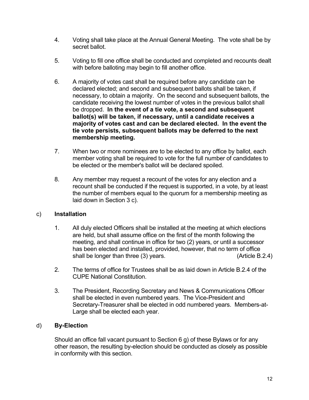- 4. Voting shall take place at the Annual General Meeting. The vote shall be by secret ballot.
- 5. Voting to fill one office shall be conducted and completed and recounts dealt with before balloting may begin to fill another office.
- 6. A majority of votes cast shall be required before any candidate can be declared elected; and second and subsequent ballots shall be taken, if necessary, to obtain a majority. On the second and subsequent ballots, the candidate receiving the lowest number of votes in the previous ballot shall be dropped. **In the event of a tie vote, a second and subsequent ballot(s) will be taken, if necessary, until a candidate receives a majority of votes cast and can be declared elected. In the event the tie vote persists, subsequent ballots may be deferred to the next membership meeting.**
- 7. When two or more nominees are to be elected to any office by ballot, each member voting shall be required to vote for the full number of candidates to be elected or the member's ballot will be declared spoiled.
- 8. Any member may request a recount of the votes for any election and a recount shall be conducted if the request is supported, in a vote, by at least the number of members equal to the quorum for a membership meeting as laid down in Section 3 c).

#### c) **Installation**

- 1. All duly elected Officers shall be installed at the meeting at which elections are held, but shall assume office on the first of the month following the meeting, and shall continue in office for two (2) years, or until a successor has been elected and installed, provided, however, that no term of office shall be longer than three (3) years. (Article B.2.4)
- 2. The terms of office for Trustees shall be as laid down in Article B.2.4 of the CUPE National Constitution.
- 3. The President, Recording Secretary and News & Communications Officer shall be elected in even numbered years. The Vice-President and Secretary-Treasurer shall be elected in odd numbered years. Members-at-Large shall be elected each year.

#### d) **By-Election**

Should an office fall vacant pursuant to Section 6 g) of these Bylaws or for any other reason, the resulting by-election should be conducted as closely as possible in conformity with this section.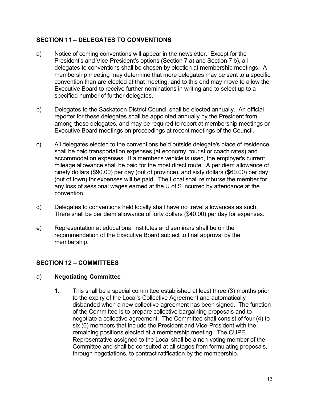#### **SECTION 11 – DELEGATES TO CONVENTIONS**

- a) Notice of coming conventions will appear in the newsletter. Except for the President's and Vice-President's options (Section 7 a) and Section 7 b), all delegates to conventions shall be chosen by election at membership meetings. A membership meeting may determine that more delegates may be sent to a specific convention than are elected at that meeting, and to this end may move to allow the Executive Board to receive further nominations in writing and to select up to a specified number of further delegates.
- b) Delegates to the Saskatoon District Council shall be elected annually. An official reporter for these delegates shall be appointed annually by the President from among these delegates, and may be required to report at membership meetings or Executive Board meetings on proceedings at recent meetings of the Council.
- c) All delegates elected to the conventions held outside delegate's place of residence shall be paid transportation expenses (at economy, tourist or coach rates) and accommodation expenses. If a member's vehicle is used, the employer's current mileage allowance shall be paid for the most direct route. A per diem allowance of ninety dollars (\$90.00) per day (out of province), and sixty dollars (\$60.00) per day (out of town) for expenses will be paid. The Local shall reimburse the member for any loss of sessional wages earned at the U of S incurred by attendance at the convention.
- d) Delegates to conventions held locally shall have no travel allowances as such. There shall be per diem allowance of forty dollars (\$40.00) per day for expenses.
- e) Representation at educational institutes and seminars shall be on the recommendation of the Executive Board subject to final approval by the membership.

#### **SECTION 12 – COMMITTEES**

#### a) **Negotiating Committee**

1. This shall be a special committee established at least three (3) months prior to the expiry of the Local's Collective Agreement and automatically disbanded when a new collective agreement has been signed. The function of the Committee is to prepare collective bargaining proposals and to negotiate a collective agreement. The Committee shall consist of four (4) to six (6) members that include the President and Vice-President with the remaining positions elected at a membership meeting. The CUPE Representative assigned to the Local shall be a non-voting member of the Committee and shall be consulted at all stages from formulating proposals, through negotiations, to contract ratification by the membership.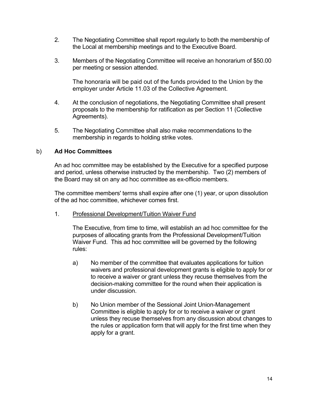- 2. The Negotiating Committee shall report regularly to both the membership of the Local at membership meetings and to the Executive Board.
- 3. Members of the Negotiating Committee will receive an honorarium of \$50.00 per meeting or session attended.

The honoraria will be paid out of the funds provided to the Union by the employer under Article 11.03 of the Collective Agreement.

- 4. At the conclusion of negotiations, the Negotiating Committee shall present proposals to the membership for ratification as per Section 11 (Collective Agreements).
- 5. The Negotiating Committee shall also make recommendations to the membership in regards to holding strike votes.

#### b) **Ad Hoc Committees**

An ad hoc committee may be established by the Executive for a specified purpose and period, unless otherwise instructed by the membership. Two (2) members of the Board may sit on any ad hoc committee as ex-officio members.

The committee members' terms shall expire after one (1) year, or upon dissolution of the ad hoc committee, whichever comes first.

1. Professional Development/Tuition Waiver Fund

The Executive, from time to time, will establish an ad hoc committee for the purposes of allocating grants from the Professional Development/Tuition Waiver Fund. This ad hoc committee will be governed by the following rules:

- a) No member of the committee that evaluates applications for tuition waivers and professional development grants is eligible to apply for or to receive a waiver or grant unless they recuse themselves from the decision-making committee for the round when their application is under discussion.
- b) No Union member of the Sessional Joint Union-Management Committee is eligible to apply for or to receive a waiver or grant unless they recuse themselves from any discussion about changes to the rules or application form that will apply for the first time when they apply for a grant.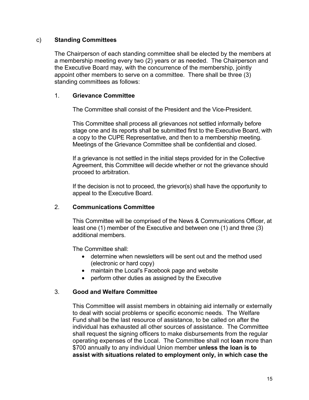#### c) **Standing Committees**

The Chairperson of each standing committee shall be elected by the members at a membership meeting every two (2) years or as needed. The Chairperson and the Executive Board may, with the concurrence of the membership, jointly appoint other members to serve on a committee. There shall be three (3) standing committees as follows:

#### 1. **Grievance Committee**

The Committee shall consist of the President and the Vice-President.

This Committee shall process all grievances not settled informally before stage one and its reports shall be submitted first to the Executive Board, with a copy to the CUPE Representative, and then to a membership meeting. Meetings of the Grievance Committee shall be confidential and closed.

If a grievance is not settled in the initial steps provided for in the Collective Agreement, this Committee will decide whether or not the grievance should proceed to arbitration.

If the decision is not to proceed, the grievor(s) shall have the opportunity to appeal to the Executive Board.

#### 2. **Communications Committee**

This Committee will be comprised of the News & Communications Officer, at least one (1) member of the Executive and between one (1) and three (3) additional members.

The Committee shall:

- determine when newsletters will be sent out and the method used (electronic or hard copy)
- maintain the Local's Facebook page and website
- perform other duties as assigned by the Executive

#### 3. **Good and Welfare Committee**

This Committee will assist members in obtaining aid internally or externally to deal with social problems or specific economic needs. The Welfare Fund shall be the last resource of assistance, to be called on after the individual has exhausted all other sources of assistance. The Committee shall request the signing officers to make disbursements from the regular operating expenses of the Local. The Committee shall not **loan** more than \$700 annually to any individual Union member **unless the loan is to assist with situations related to employment only, in which case the**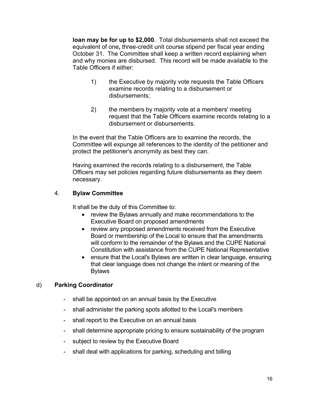**loan may be for up to \$2,000**. Total disbursements shall not exceed the equivalent of one**,** three-credit unit course stipend per fiscal year ending October 31. The Committee shall keep a written record explaining when and why monies are disbursed. This record will be made available to the Table Officers if either:

- 1) the Executive by majority vote requests the Table Officers examine records relating to a disbursement or disbursements;
- 2) the members by majority vote at a members' meeting request that the Table Officers examine records relating to a disbursement or disbursements.

In the event that the Table Officers are to examine the records, the Committee will expunge all references to the identity of the petitioner and protect the petitioner's anonymity as best they can.

Having examined the records relating to a disbursement, the Table Officers may set policies regarding future disbursements as they deem necessary.

#### 4. **Bylaw Committee**

It shall be the duty of this Committee to:

- review the Bylaws annually and make recommendations to the Executive Board on proposed amendments
- review any proposed amendments received from the Executive Board or membership of the Local to ensure that the amendments will conform to the remainder of the Bylaws and the CUPE National Constitution with assistance from the CUPE National Representative
- ensure that the Local's Bylaws are written in clear language, ensuring that clear language does not change the intent or meaning of the Bylaws

#### d) **Parking Coordinator**

- **-** shall be appointed on an annual basis by the Executive
- **-** shall administer the parking spots allotted to the Local's members
- **-** shall report to the Executive on an annual basis
- **-** shall determine appropriate pricing to ensure sustainability of the program
- **-** subject to review by the Executive Board
- **-** shall deal with applications for parking, scheduling and billing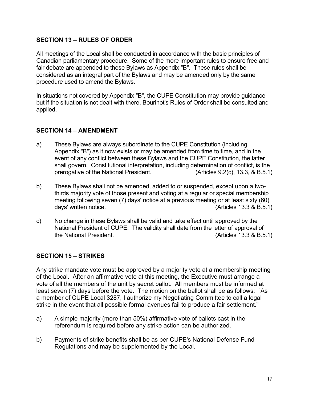#### **SECTION 13 – RULES OF ORDER**

All meetings of the Local shall be conducted in accordance with the basic principles of Canadian parliamentary procedure. Some of the more important rules to ensure free and fair debate are appended to these Bylaws as Appendix "B". These rules shall be considered as an integral part of the Bylaws and may be amended only by the same procedure used to amend the Bylaws.

In situations not covered by Appendix "B", the CUPE Constitution may provide guidance but if the situation is not dealt with there, Bourinot's Rules of Order shall be consulted and applied.

#### **SECTION 14 – AMENDMENT**

- a) These Bylaws are always subordinate to the CUPE Constitution (including Appendix "B") as it now exists or may be amended from time to time, and in the event of any conflict between these Bylaws and the CUPE Constitution, the latter shall govern. Constitutional interpretation, including determination of conflict, is the prerogative of the National President. (Articles 9.2(c), 13.3, & B.5.1)
- b) These Bylaws shall not be amended, added to or suspended, except upon a twothirds majority vote of those present and voting at a regular or special membership meeting following seven (7) days' notice at a previous meeting or at least sixty (60) days' written notice. (Articles 13.3 & B.5.1)
- c) No change in these Bylaws shall be valid and take effect until approved by the National President of CUPE. The validity shall date from the letter of approval of the National President. (Articles 13.3 & B.5.1)

#### **SECTION 15 – STRIKES**

Any strike mandate vote must be approved by a majority vote at a membership meeting of the Local. After an affirmative vote at this meeting, the Executive must arrange a vote of all the members of the unit by secret ballot. All members must be informed at least seven (7) days before the vote. The motion on the ballot shall be as follows: "As a member of CUPE Local 3287, I authorize my Negotiating Committee to call a legal strike in the event that all possible formal avenues fail to produce a fair settlement."

- a) A simple majority (more than 50%) affirmative vote of ballots cast in the referendum is required before any strike action can be authorized.
- b) Payments of strike benefits shall be as per CUPE's National Defense Fund Regulations and may be supplemented by the Local.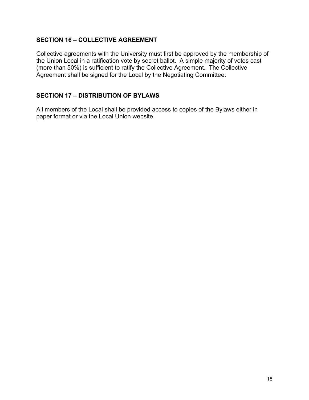#### **SECTION 16 – COLLECTIVE AGREEMENT**

Collective agreements with the University must first be approved by the membership of the Union Local in a ratification vote by secret ballot. A simple majority of votes cast (more than 50%) is sufficient to ratify the Collective Agreement. The Collective Agreement shall be signed for the Local by the Negotiating Committee.

#### **SECTION 17 – DISTRIBUTION OF BYLAWS**

All members of the Local shall be provided access to copies of the Bylaws either in paper format or via the Local Union website.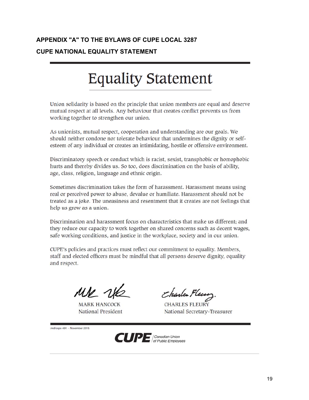#### **APPENDIX "A" TO THE BYLAWS OF CUPE LOCAL 3287 CUPE NATIONAL EQUALITY STATEMENT**

## **Equality Statement**

Union solidarity is based on the principle that union members are equal and deserve mutual respect at all levels. Any behaviour that creates conflict prevents us from working together to strengthen our union.

As unionists, mutual respect, cooperation and understanding are our goals. We should neither condone nor tolerate behaviour that undermines the dignity or selfesteem of any individual or creates an intimidating, hostile or offensive environment.

Discriminatory speech or conduct which is racist, sexist, transphobic or homophobic hurts and thereby divides us. So too, does discrimination on the basis of ability, age, class, religion, language and ethnic origin.

Sometimes discrimination takes the form of harassment. Harassment means using real or perceived power to abuse, devalue or humiliate. Harassment should not be treated as a joke. The uneasiness and resentment that it creates are not feelings that help us grow as a union.

Discrimination and harassment focus on characteristics that make us different; and they reduce our capacity to work together on shared concerns such as decent wages. safe working conditions, and justice in the workplace, society and in our union.

CUPE's policies and practices must reflect our commitment to equality. Members, staff and elected officers must be mindful that all persons deserve dignity, equality and respect.

MK NK

**MARK HANCOCK** National President

Charles Fleur

**CHARLES FLEURY** National Secretary-Treasurer

md/cope 491 - November 2015

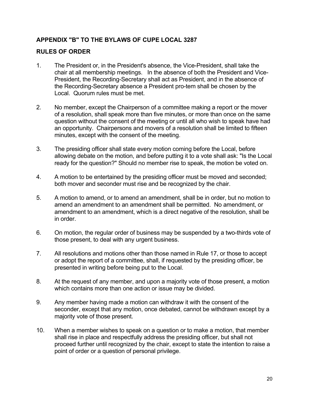#### **APPENDIX "B" TO THE BYLAWS OF CUPE LOCAL 3287**

#### **RULES OF ORDER**

- 1. The President or, in the President's absence, the Vice-President, shall take the chair at all membership meetings. In the absence of both the President and Vice-President, the Recording-Secretary shall act as President, and in the absence of the Recording-Secretary absence a President pro-tem shall be chosen by the Local. Quorum rules must be met.
- 2. No member, except the Chairperson of a committee making a report or the mover of a resolution, shall speak more than five minutes, or more than once on the same question without the consent of the meeting or until all who wish to speak have had an opportunity. Chairpersons and movers of a resolution shall be limited to fifteen minutes, except with the consent of the meeting.
- 3. The presiding officer shall state every motion coming before the Local, before allowing debate on the motion, and before putting it to a vote shall ask: "Is the Local ready for the question?" Should no member rise to speak, the motion be voted on.
- 4. A motion to be entertained by the presiding officer must be moved and seconded; both mover and seconder must rise and be recognized by the chair.
- 5. A motion to amend, or to amend an amendment, shall be in order, but no motion to amend an amendment to an amendment shall be permitted. No amendment, or amendment to an amendment, which is a direct negative of the resolution, shall be in order.
- 6. On motion, the regular order of business may be suspended by a two-thirds vote of those present, to deal with any urgent business.
- 7. All resolutions and motions other than those named in Rule 17, or those to accept or adopt the report of a committee, shall, if requested by the presiding officer, be presented in writing before being put to the Local.
- 8. At the request of any member, and upon a majority vote of those present, a motion which contains more than one action or issue may be divided.
- 9. Any member having made a motion can withdraw it with the consent of the seconder, except that any motion, once debated, cannot be withdrawn except by a majority vote of those present.
- 10. When a member wishes to speak on a question or to make a motion, that member shall rise in place and respectfully address the presiding officer, but shall not proceed further until recognized by the chair, except to state the intention to raise a point of order or a question of personal privilege.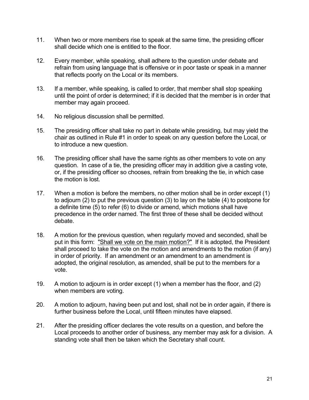- 11. When two or more members rise to speak at the same time, the presiding officer shall decide which one is entitled to the floor.
- 12. Every member, while speaking, shall adhere to the question under debate and refrain from using language that is offensive or in poor taste or speak in a manner that reflects poorly on the Local or its members.
- 13. If a member, while speaking, is called to order, that member shall stop speaking until the point of order is determined; if it is decided that the member is in order that member may again proceed.
- 14. No religious discussion shall be permitted.
- 15. The presiding officer shall take no part in debate while presiding, but may yield the chair as outlined in Rule #1 in order to speak on any question before the Local, or to introduce a new question.
- 16. The presiding officer shall have the same rights as other members to vote on any question. In case of a tie, the presiding officer may in addition give a casting vote, or, if the presiding officer so chooses, refrain from breaking the tie, in which case the motion is lost.
- 17. When a motion is before the members, no other motion shall be in order except (1) to adjourn (2) to put the previous question (3) to lay on the table (4) to postpone for a definite time (5) to refer (6) to divide or amend, which motions shall have precedence in the order named. The first three of these shall be decided without debate.
- 18. A motion for the previous question, when regularly moved and seconded, shall be put in this form: "Shall we vote on the main motion?" If it is adopted, the President shall proceed to take the vote on the motion and amendments to the motion (if any) in order of priority. If an amendment or an amendment to an amendment is adopted, the original resolution, as amended, shall be put to the members for a vote.
- 19. A motion to adjourn is in order except (1) when a member has the floor, and (2) when members are voting.
- 20. A motion to adjourn, having been put and lost, shall not be in order again, if there is further business before the Local, until fifteen minutes have elapsed.
- 21. After the presiding officer declares the vote results on a question, and before the Local proceeds to another order of business, any member may ask for a division. A standing vote shall then be taken which the Secretary shall count.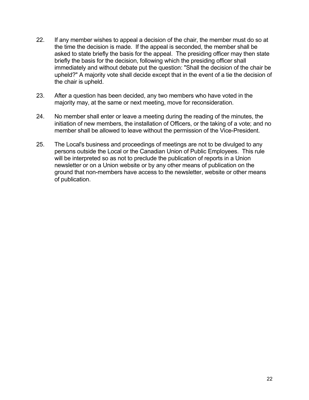- 22. If any member wishes to appeal a decision of the chair, the member must do so at the time the decision is made. If the appeal is seconded, the member shall be asked to state briefly the basis for the appeal. The presiding officer may then state briefly the basis for the decision, following which the presiding officer shall immediately and without debate put the question: "Shall the decision of the chair be upheld?" A majority vote shall decide except that in the event of a tie the decision of the chair is upheld.
- 23. After a question has been decided, any two members who have voted in the majority may, at the same or next meeting, move for reconsideration.
- 24. No member shall enter or leave a meeting during the reading of the minutes, the initiation of new members, the installation of Officers, or the taking of a vote; and no member shall be allowed to leave without the permission of the Vice-President.
- 25. The Local's business and proceedings of meetings are not to be divulged to any persons outside the Local or the Canadian Union of Public Employees. This rule will be interpreted so as not to preclude the publication of reports in a Union newsletter or on a Union website or by any other means of publication on the ground that non-members have access to the newsletter, website or other means of publication.